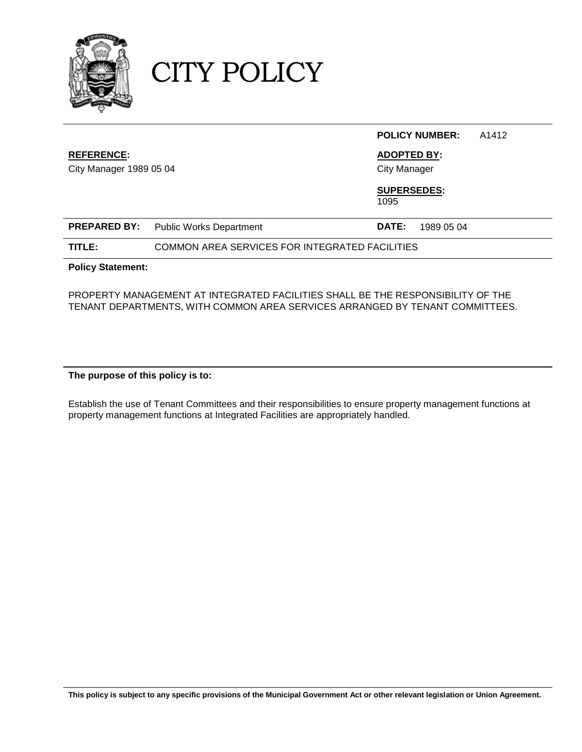

CITY POLICY

|                          |                                                |                     | <b>POLICY NUMBER:</b> | A1412 |
|--------------------------|------------------------------------------------|---------------------|-----------------------|-------|
| <b>REFERENCE:</b>        |                                                | <b>ADOPTED BY:</b>  |                       |       |
| City Manager 1989 05 04  |                                                | <b>City Manager</b> |                       |       |
|                          |                                                | <b>SUPERSEDES:</b>  |                       |       |
|                          |                                                | 1095                |                       |       |
| <b>PREPARED BY:</b>      | <b>Public Works Department</b>                 | DATE:               | 1989 05 04            |       |
| TITLE:                   | COMMON AREA SERVICES FOR INTEGRATED FACILITIES |                     |                       |       |
| <b>Policy Statement:</b> |                                                |                     |                       |       |

### PROPERTY MANAGEMENT AT INTEGRATED FACILITIES SHALL BE THE RESPONSIBILITY OF THE TENANT DEPARTMENTS, WITH COMMON AREA SERVICES ARRANGED BY TENANT COMMITTEES.

## **The purpose of this policy is to:**

Establish the use of Tenant Committees and their responsibilities to ensure property management functions at property management functions at Integrated Facilities are appropriately handled.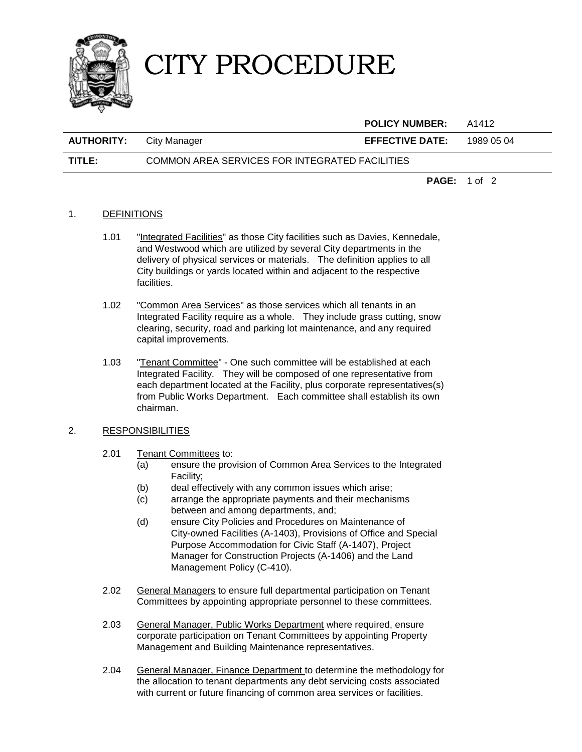

# CITY PROCEDURE

|                   |                                                | <b>POLICY NUMBER:</b>  | A1412               |
|-------------------|------------------------------------------------|------------------------|---------------------|
| <b>AUTHORITY:</b> | City Manager                                   | <b>EFFECTIVE DATE:</b> | 1989 05 04          |
| TITLE:            | COMMON AREA SERVICES FOR INTEGRATED FACILITIES |                        |                     |
|                   |                                                |                        | <b>PAGE:</b> 1 of 2 |

#### 1. DEFINITIONS

- 1.01 "Integrated Facilities" as those City facilities such as Davies, Kennedale, and Westwood which are utilized by several City departments in the delivery of physical services or materials. The definition applies to all City buildings or yards located within and adjacent to the respective facilities.
- 1.02 "Common Area Services" as those services which all tenants in an Integrated Facility require as a whole. They include grass cutting, snow clearing, security, road and parking lot maintenance, and any required capital improvements.
- 1.03 "Tenant Committee" One such committee will be established at each Integrated Facility. They will be composed of one representative from each department located at the Facility, plus corporate representatives(s) from Public Works Department. Each committee shall establish its own chairman.

#### 2. RESPONSIBILITIES

#### 2.01 Tenant Committees to:

- (a) ensure the provision of Common Area Services to the Integrated Facility;
- (b) deal effectively with any common issues which arise;
- (c) arrange the appropriate payments and their mechanisms between and among departments, and;
- (d) ensure City Policies and Procedures on Maintenance of City-owned Facilities (A-1403), Provisions of Office and Special Purpose Accommodation for Civic Staff (A-1407), Project Manager for Construction Projects (A-1406) and the Land Management Policy (C-410).
- 2.02 General Managers to ensure full departmental participation on Tenant Committees by appointing appropriate personnel to these committees.
- 2.03 General Manager, Public Works Department where required, ensure corporate participation on Tenant Committees by appointing Property Management and Building Maintenance representatives.
- 2.04 General Manager, Finance Department to determine the methodology for the allocation to tenant departments any debt servicing costs associated with current or future financing of common area services or facilities.